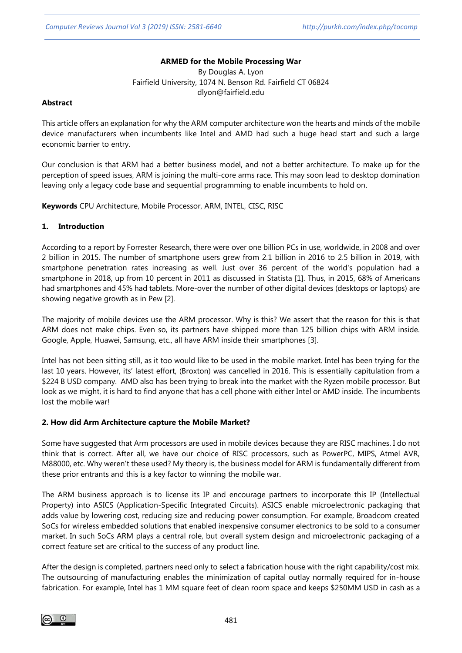## **ARMED for the Mobile Processing War**

By Douglas A. Lyon Fairfield University, 1074 N. Benson Rd. Fairfield CT 06824 dlyon@fairfield.edu

### **Abstract**

This article offers an explanation for why the ARM computer architecture won the hearts and minds of the mobile device manufacturers when incumbents like Intel and AMD had such a huge head start and such a large economic barrier to entry.

Our conclusion is that ARM had a better business model, and not a better architecture. To make up for the perception of speed issues, ARM is joining the multi-core arms race. This may soon lead to desktop domination leaving only a legacy code base and sequential programming to enable incumbents to hold on.

**Keywords** CPU Architecture, Mobile Processor, ARM, INTEL, CISC, RISC

#### **1. Introduction**

According to a report by Forrester Research, there were over one billion PCs in use, worldwide, in 2008 and over 2 billion in 2015. The number of smartphone users grew from 2.1 billion in 2016 to 2.5 billion in 2019, with smartphone penetration rates increasing as well. Just over 36 percent of the world's population had a smartphone in 2018, up from 10 percent in 2011 as discussed in Statista [1]. Thus, in 2015, 68% of Americans had smartphones and 45% had tablets. More-over the number of other digital devices (desktops or laptops) are showing negative growth as in Pew [2].

The majority of mobile devices use the ARM processor. Why is this? We assert that the reason for this is that ARM does not make chips. Even so, its partners have shipped more than 125 billion chips with ARM inside. Google, Apple, Huawei, Samsung, etc., all have ARM inside their smartphones [3].

Intel has not been sitting still, as it too would like to be used in the mobile market. Intel has been trying for the last 10 years. However, its' latest effort, (Broxton) was cancelled in 2016. This is essentially capitulation from a \$224 B USD company. AMD also has been trying to break into the market with the Ryzen mobile processor. But look as we might, it is hard to find anyone that has a cell phone with either Intel or AMD inside. The incumbents lost the mobile war!

### **2. How did Arm Architecture capture the Mobile Market?**

Some have suggested that Arm processors are used in mobile devices because they are RISC machines. I do not think that is correct. After all, we have our choice of RISC processors, such as PowerPC, MIPS, Atmel AVR, M88000, etc. Why weren't these used? My theory is, the business model for ARM is fundamentally different from these prior entrants and this is a key factor to winning the mobile war.

The ARM business approach is to license its IP and encourage partners to incorporate this IP (Intellectual Property) into ASICS (Application-Specific Integrated Circuits). ASICS enable microelectronic packaging that adds value by lowering cost, reducing size and reducing power consumption. For example, Broadcom created SoCs for wireless embedded solutions that enabled inexpensive consumer electronics to be sold to a consumer market. In such SoCs ARM plays a central role, but overall system design and microelectronic packaging of a correct feature set are critical to the success of any product line.

After the design is completed, partners need only to select a fabrication house with the right capability/cost mix. The outsourcing of manufacturing enables the minimization of capital outlay normally required for in-house fabrication. For example, Intel has 1 MM square feet of clean room space and keeps \$250MM USD in cash as a

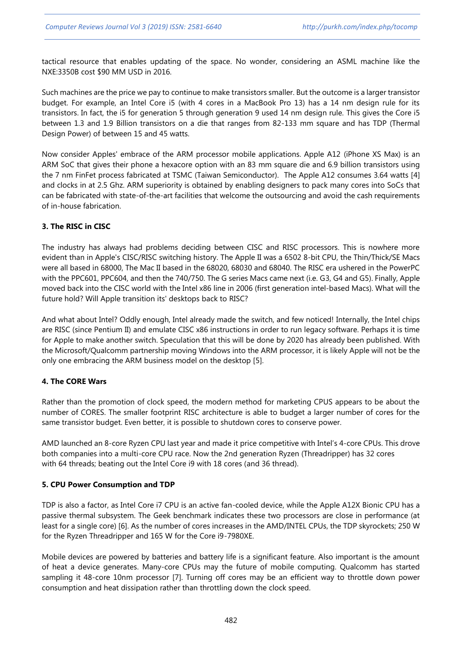tactical resource that enables updating of the space. No wonder, considering an ASML machine like the NXE:3350B cost \$90 MM USD in 2016.

Such machines are the price we pay to continue to make transistors smaller. But the outcome is a larger transistor budget. For example, an Intel Core i5 (with 4 cores in a MacBook Pro 13) has a 14 nm design rule for its transistors. In fact, the i5 for generation 5 through generation 9 used 14 nm design rule. This gives the Core i5 between 1.3 and 1.9 Billion transistors on a die that ranges from 82-133 mm square and has TDP (Thermal Design Power) of between 15 and 45 watts.

Now consider Apples' embrace of the ARM processor mobile applications. Apple A12 (iPhone XS Max) is an ARM SoC that gives their phone a hexacore option with an 83 mm square die and 6.9 billion transistors using the 7 nm FinFet process fabricated at TSMC (Taiwan Semiconductor). The Apple A12 consumes 3.64 watts [4] and clocks in at 2.5 Ghz. ARM superiority is obtained by enabling designers to pack many cores into SoCs that can be fabricated with state-of-the-art facilities that welcome the outsourcing and avoid the cash requirements of in-house fabrication.

# **3. The RISC in CISC**

The industry has always had problems deciding between CISC and RISC processors. This is nowhere more evident than in Apple's CISC/RISC switching history. The Apple II was a 6502 8-bit CPU, the Thin/Thick/SE Macs were all based in 68000, The Mac II based in the 68020, 68030 and 68040. The RISC era ushered in the PowerPC with the PPC601, PPC604, and then the 740/750. The G series Macs came next (i.e. G3, G4 and G5). Finally, Apple moved back into the CISC world with the Intel x86 line in 2006 (first generation intel-based Macs). What will the future hold? Will Apple transition its' desktops back to RISC?

And what about Intel? Oddly enough, Intel already made the switch, and few noticed! Internally, the Intel chips are RISC (since Pentium II) and emulate CISC x86 instructions in order to run legacy software. Perhaps it is time for Apple to make another switch. Speculation that this will be done by 2020 has already been published. With the Microsoft/Qualcomm partnership moving Windows into the ARM processor, it is likely Apple will not be the only one embracing the ARM business model on the desktop [5].

### **4. The CORE Wars**

Rather than the promotion of clock speed, the modern method for marketing CPUS appears to be about the number of CORES. The smaller footprint RISC architecture is able to budget a larger number of cores for the same transistor budget. Even better, it is possible to shutdown cores to conserve power.

AMD launched an 8-core Ryzen CPU last year and made it price competitive with Intel's 4-core CPUs. This drove both companies into a multi-core CPU race. Now the 2nd generation Ryzen (Threadripper) has 32 cores with 64 threads; beating out the Intel Core i9 with 18 cores (and 36 thread).

### **5. CPU Power Consumption and TDP**

TDP is also a factor, as Intel Core i7 CPU is an active fan-cooled device, while the Apple A12X Bionic CPU has a passive thermal subsystem. The Geek benchmark indicates these two processors are close in performance (at least for a single core) [6]. As the number of cores increases in the AMD/INTEL CPUs, the TDP skyrockets; 250 W for the Ryzen Threadripper and 165 W for the Core i9-7980XE.

Mobile devices are powered by batteries and battery life is a significant feature. Also important is the amount of heat a device generates. Many-core CPUs may the future of mobile computing. Qualcomm has started sampling it 48-core 10nm processor [7]. Turning off cores may be an efficient way to throttle down power consumption and heat dissipation rather than throttling down the clock speed.